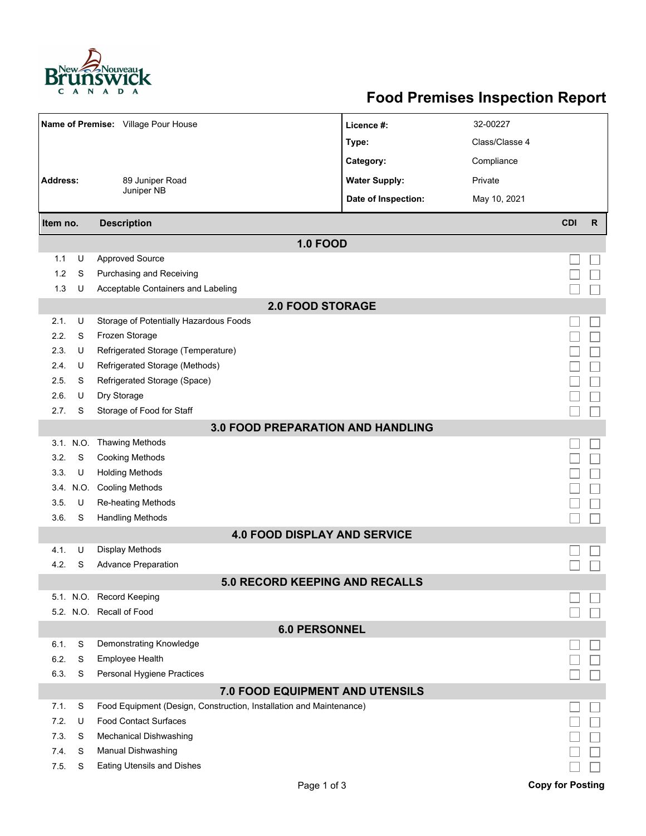

## **Food Premises Inspection Report**

| Name of Premise: Village Pour House    |           |                                                                     | Licence #:           | 32-00227       |                         |              |  |  |  |  |
|----------------------------------------|-----------|---------------------------------------------------------------------|----------------------|----------------|-------------------------|--------------|--|--|--|--|
|                                        |           |                                                                     | Type:                | Class/Classe 4 |                         |              |  |  |  |  |
|                                        |           |                                                                     | Category:            | Compliance     |                         |              |  |  |  |  |
| <b>Address:</b>                        |           | 89 Juniper Road                                                     | <b>Water Supply:</b> | Private        |                         |              |  |  |  |  |
|                                        |           | Juniper NB                                                          | Date of Inspection:  | May 10, 2021   |                         |              |  |  |  |  |
| Item no.                               |           |                                                                     |                      |                | <b>CDI</b>              | $\mathsf{R}$ |  |  |  |  |
|                                        |           | <b>Description</b>                                                  |                      |                |                         |              |  |  |  |  |
|                                        |           | <b>1.0 FOOD</b>                                                     |                      |                |                         |              |  |  |  |  |
| 1.1                                    | U         | <b>Approved Source</b>                                              |                      |                |                         |              |  |  |  |  |
| 1.2                                    | S         | Purchasing and Receiving                                            |                      |                |                         |              |  |  |  |  |
| 1.3                                    | U         | Acceptable Containers and Labeling                                  |                      |                |                         |              |  |  |  |  |
| <b>2.0 FOOD STORAGE</b>                |           |                                                                     |                      |                |                         |              |  |  |  |  |
| 2.1.                                   | U         | Storage of Potentially Hazardous Foods                              |                      |                |                         |              |  |  |  |  |
| 2.2.                                   | S         | Frozen Storage                                                      |                      |                |                         |              |  |  |  |  |
| 2.3.                                   | U         | Refrigerated Storage (Temperature)                                  |                      |                |                         |              |  |  |  |  |
| 2.4.                                   | U         | Refrigerated Storage (Methods)                                      |                      |                |                         |              |  |  |  |  |
| 2.5.                                   | S         | Refrigerated Storage (Space)                                        |                      |                |                         |              |  |  |  |  |
| 2.6.                                   | U         | Dry Storage                                                         |                      |                |                         |              |  |  |  |  |
| 2.7.                                   | S         | Storage of Food for Staff                                           |                      |                |                         |              |  |  |  |  |
|                                        |           | <b>3.0 FOOD PREPARATION AND HANDLING</b>                            |                      |                |                         |              |  |  |  |  |
|                                        | 3.1. N.O. | <b>Thawing Methods</b>                                              |                      |                |                         |              |  |  |  |  |
| 3.2.                                   | S         | <b>Cooking Methods</b>                                              |                      |                |                         |              |  |  |  |  |
| 3.3.                                   | U         | <b>Holding Methods</b>                                              |                      |                |                         |              |  |  |  |  |
|                                        | 3.4 N.O.  | <b>Cooling Methods</b>                                              |                      |                |                         |              |  |  |  |  |
| 3.5.                                   | U         | Re-heating Methods                                                  |                      |                |                         |              |  |  |  |  |
| 3.6.                                   | S         | <b>Handling Methods</b>                                             |                      |                |                         |              |  |  |  |  |
|                                        |           | <b>4.0 FOOD DISPLAY AND SERVICE</b>                                 |                      |                |                         |              |  |  |  |  |
| 4.1.                                   | U         | Display Methods                                                     |                      |                |                         |              |  |  |  |  |
| 4.2.                                   | S         | <b>Advance Preparation</b>                                          |                      |                |                         |              |  |  |  |  |
|                                        |           | <b>5.0 RECORD KEEPING AND RECALLS</b>                               |                      |                |                         |              |  |  |  |  |
|                                        |           | 5.1. N.O. Record Keeping                                            |                      |                |                         |              |  |  |  |  |
|                                        |           | 5.2. N.O. Recall of Food                                            |                      |                |                         |              |  |  |  |  |
| <b>6.0 PERSONNEL</b>                   |           |                                                                     |                      |                |                         |              |  |  |  |  |
| 6.1.                                   | S         | Demonstrating Knowledge                                             |                      |                |                         |              |  |  |  |  |
| 6.2.                                   | S         | Employee Health                                                     |                      |                |                         |              |  |  |  |  |
| 6.3.                                   | S         | Personal Hygiene Practices                                          |                      |                |                         |              |  |  |  |  |
| <b>7.0 FOOD EQUIPMENT AND UTENSILS</b> |           |                                                                     |                      |                |                         |              |  |  |  |  |
| 7.1.                                   | S         | Food Equipment (Design, Construction, Installation and Maintenance) |                      |                |                         |              |  |  |  |  |
| 7.2.                                   | U         | <b>Food Contact Surfaces</b>                                        |                      |                |                         |              |  |  |  |  |
| 7.3                                    | S         | <b>Mechanical Dishwashing</b>                                       |                      |                |                         |              |  |  |  |  |
| 7.4.                                   | S         | Manual Dishwashing                                                  |                      |                |                         |              |  |  |  |  |
| 7.5.                                   | S         | <b>Eating Utensils and Dishes</b>                                   |                      |                |                         |              |  |  |  |  |
|                                        |           | Page 1 of 3                                                         |                      |                | <b>Copy for Posting</b> |              |  |  |  |  |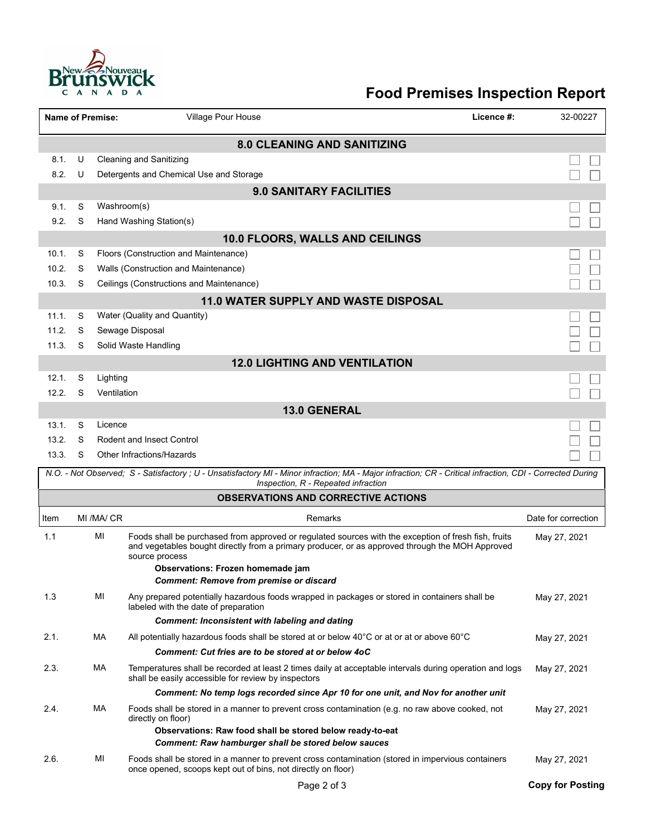

## **Food Premises Inspection Report**

|                                    | <b>Name of Premise:</b>         |             | Village Pour House                                                                                                                                                                                                                                                                                               | Licence #: | 32-00227                |  |  |  |
|------------------------------------|---------------------------------|-------------|------------------------------------------------------------------------------------------------------------------------------------------------------------------------------------------------------------------------------------------------------------------------------------------------------------------|------------|-------------------------|--|--|--|
| <b>8.0 CLEANING AND SANITIZING</b> |                                 |             |                                                                                                                                                                                                                                                                                                                  |            |                         |  |  |  |
| 8.1.                               | U                               |             | <b>Cleaning and Sanitizing</b>                                                                                                                                                                                                                                                                                   |            |                         |  |  |  |
| 8.2.                               | U                               |             | Detergents and Chemical Use and Storage                                                                                                                                                                                                                                                                          |            |                         |  |  |  |
|                                    |                                 |             | <b>9.0 SANITARY FACILITIES</b>                                                                                                                                                                                                                                                                                   |            |                         |  |  |  |
| 9.1.                               | S                               | Washroom(s) |                                                                                                                                                                                                                                                                                                                  |            |                         |  |  |  |
| 9.2.                               | S                               |             | Hand Washing Station(s)                                                                                                                                                                                                                                                                                          |            |                         |  |  |  |
|                                    | 10.0 FLOORS, WALLS AND CEILINGS |             |                                                                                                                                                                                                                                                                                                                  |            |                         |  |  |  |
| 10.1.                              | S                               |             | Floors (Construction and Maintenance)                                                                                                                                                                                                                                                                            |            |                         |  |  |  |
| 10.2.                              | S                               |             | Walls (Construction and Maintenance)                                                                                                                                                                                                                                                                             |            |                         |  |  |  |
| 10.3.                              | S                               |             | Ceilings (Constructions and Maintenance)                                                                                                                                                                                                                                                                         |            |                         |  |  |  |
|                                    |                                 |             | <b>11.0 WATER SUPPLY AND WASTE DISPOSAL</b>                                                                                                                                                                                                                                                                      |            |                         |  |  |  |
| 11.1.                              | S                               |             | Water (Quality and Quantity)                                                                                                                                                                                                                                                                                     |            |                         |  |  |  |
| 11.2.                              | S                               |             | Sewage Disposal                                                                                                                                                                                                                                                                                                  |            |                         |  |  |  |
| 11.3.                              | S                               |             | Solid Waste Handling                                                                                                                                                                                                                                                                                             |            |                         |  |  |  |
|                                    |                                 |             | <b>12.0 LIGHTING AND VENTILATION</b>                                                                                                                                                                                                                                                                             |            |                         |  |  |  |
| 12.1.                              | S                               | Lighting    |                                                                                                                                                                                                                                                                                                                  |            |                         |  |  |  |
| 12.2.                              | S                               | Ventilation |                                                                                                                                                                                                                                                                                                                  |            |                         |  |  |  |
|                                    |                                 |             | <b>13.0 GENERAL</b>                                                                                                                                                                                                                                                                                              |            |                         |  |  |  |
| 13.1.                              | S                               | Licence     |                                                                                                                                                                                                                                                                                                                  |            |                         |  |  |  |
| 13.2.                              | S                               |             | <b>Rodent and Insect Control</b>                                                                                                                                                                                                                                                                                 |            |                         |  |  |  |
| 13.3.                              | S                               |             | Other Infractions/Hazards                                                                                                                                                                                                                                                                                        |            |                         |  |  |  |
|                                    |                                 |             | N.O. - Not Observed; S - Satisfactory ; U - Unsatisfactory MI - Minor infraction; MA - Major infraction; CR - Critical infraction, CDI - Corrected During<br>Inspection, R - Repeated infraction                                                                                                                 |            |                         |  |  |  |
|                                    |                                 |             | <b>OBSERVATIONS AND CORRECTIVE ACTIONS</b>                                                                                                                                                                                                                                                                       |            |                         |  |  |  |
| Item                               |                                 | MI /MA/ CR  | Remarks                                                                                                                                                                                                                                                                                                          |            | Date for correction     |  |  |  |
| 1.1                                |                                 | МI          | Foods shall be purchased from approved or regulated sources with the exception of fresh fish, fruits<br>and vegetables bought directly from a primary producer, or as approved through the MOH Approved<br>source process<br>Observations: Frozen homemade jam<br><b>Comment: Remove from premise or discard</b> |            | May 27, 2021            |  |  |  |
| 1.3                                |                                 | MI          | Any prepared potentially hazardous foods wrapped in packages or stored in containers shall be<br>labeled with the date of preparation                                                                                                                                                                            |            | May 27, 2021            |  |  |  |
|                                    |                                 |             | <b>Comment: Inconsistent with labeling and dating</b>                                                                                                                                                                                                                                                            |            |                         |  |  |  |
| 2.1.                               |                                 | МA          | All potentially hazardous foods shall be stored at or below 40 $\degree$ C or at or at or above 60 $\degree$ C                                                                                                                                                                                                   |            | May 27, 2021            |  |  |  |
|                                    |                                 |             | Comment: Cut fries are to be stored at or below 4oC                                                                                                                                                                                                                                                              |            |                         |  |  |  |
| 2.3.                               |                                 | МA          | Temperatures shall be recorded at least 2 times daily at acceptable intervals during operation and logs<br>shall be easily accessible for review by inspectors                                                                                                                                                   |            | May 27, 2021            |  |  |  |
|                                    |                                 |             | Comment: No temp logs recorded since Apr 10 for one unit, and Nov for another unit                                                                                                                                                                                                                               |            |                         |  |  |  |
| 2.4.                               |                                 | МA          | Foods shall be stored in a manner to prevent cross contamination (e.g. no raw above cooked, not<br>directly on floor)                                                                                                                                                                                            |            | May 27, 2021            |  |  |  |
|                                    |                                 |             | Observations: Raw food shall be stored below ready-to-eat<br><b>Comment: Raw hamburger shall be stored below sauces</b>                                                                                                                                                                                          |            |                         |  |  |  |
| 2.6.                               |                                 | MI          | Foods shall be stored in a manner to prevent cross contamination (stored in impervious containers<br>once opened, scoops kept out of bins, not directly on floor)                                                                                                                                                |            | May 27, 2021            |  |  |  |
|                                    |                                 |             | Page 2 of 3                                                                                                                                                                                                                                                                                                      |            | <b>Copy for Posting</b> |  |  |  |